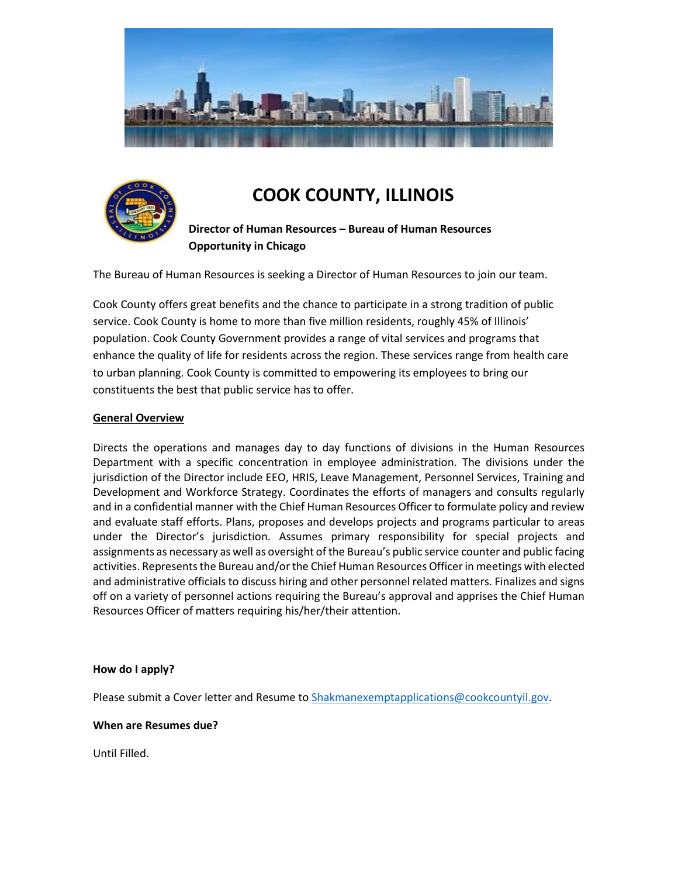



# **COOK COUNTY, ILLINOIS**

**Director of Human Resources – Bureau of Human Resources Opportunity in Chicago**

The Bureau of Human Resources is seeking a Director of Human Resources to join our team.

Cook County offers great benefits and the chance to participate in a strong tradition of public service. Cook County is home to more than five million residents, roughly 45% of Illinois' population. Cook County Government provides a range of vital services and programs that enhance the quality of life for residents across the region. These services range from health care to urban planning. Cook County is committed to empowering its employees to bring our constituents the best that public service has to offer.

### **General Overview**

Directs the operations and manages day to day functions of divisions in the Human Resources Department with a specific concentration in employee administration. The divisions under the jurisdiction of the Director include EEO, HRIS, Leave Management, Personnel Services, Training and Development and Workforce Strategy. Coordinates the efforts of managers and consults regularly and in a confidential manner with the Chief Human Resources Officer to formulate policy and review and evaluate staff efforts. Plans, proposes and develops projects and programs particular to areas under the Director's jurisdiction. Assumes primary responsibility for special projects and assignments as necessary as well as oversight of the Bureau's public service counter and public facing activities. Represents the Bureau and/or the Chief Human Resources Officer in meetings with elected and administrative officials to discuss hiring and other personnel related matters. Finalizes and signs off on a variety of personnel actions requiring the Bureau's approval and apprises the Chief Human Resources Officer of matters requiring his/her/their attention.

### **How do I apply?**

Please submit a Cover letter and Resume t[o Shakmanexemptapplications@cookcountyil.gov.](mailto:Shakmanexemptapplications@cookcountyil.gov)

#### **When are Resumes due?**

Until Filled.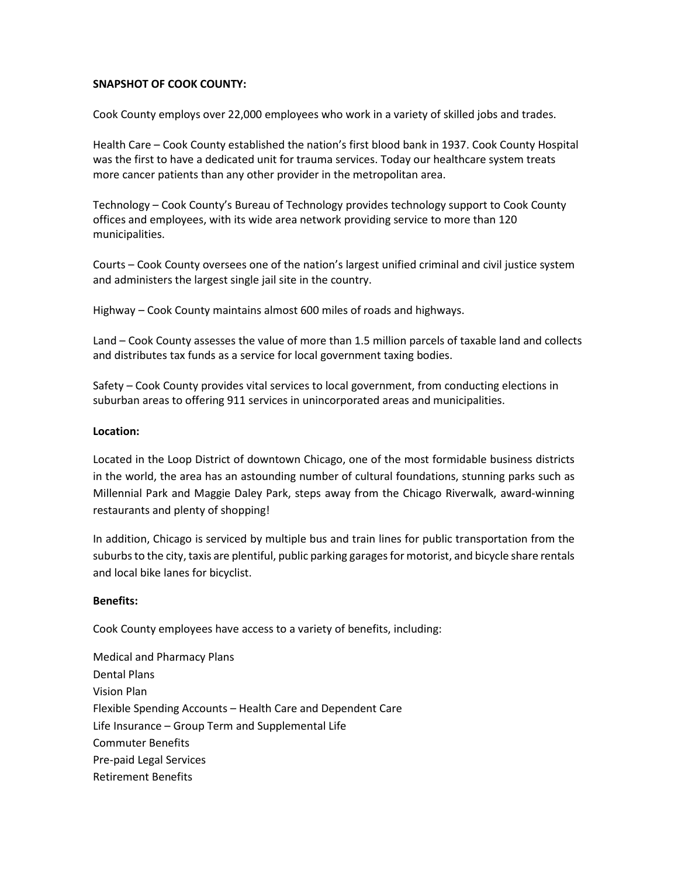### **SNAPSHOT OF COOK COUNTY:**

Cook County employs over 22,000 employees who work in a variety of skilled jobs and trades.

Health Care – Cook County established the nation's first blood bank in 1937. Cook County Hospital was the first to have a dedicated unit for trauma services. Today our healthcare system treats more cancer patients than any other provider in the metropolitan area.

Technology – Cook County's Bureau of Technology provides technology support to Cook County offices and employees, with its wide area network providing service to more than 120 municipalities.

Courts – Cook County oversees one of the nation's largest unified criminal and civil justice system and administers the largest single jail site in the country.

Highway – Cook County maintains almost 600 miles of roads and highways.

Land – Cook County assesses the value of more than 1.5 million parcels of taxable land and collects and distributes tax funds as a service for local government taxing bodies.

Safety – Cook County provides vital services to local government, from conducting elections in suburban areas to offering 911 services in unincorporated areas and municipalities.

### **Location:**

Located in the Loop District of downtown Chicago, one of the most formidable business districts in the world, the area has an astounding number of cultural foundations, stunning parks such as Millennial Park and Maggie Daley Park, steps away from the Chicago Riverwalk, award-winning restaurants and plenty of shopping!

In addition, Chicago is serviced by multiple bus and train lines for public transportation from the suburbs to the city, taxis are plentiful, public parking garages for motorist, and bicycle share rentals and local bike lanes for bicyclist.

### **Benefits:**

Cook County employees have access to a variety of benefits, including:

Medical and Pharmacy Plans Dental Plans Vision Plan Flexible Spending Accounts – Health Care and Dependent Care Life Insurance – Group Term and Supplemental Life Commuter Benefits Pre-paid Legal Services Retirement Benefits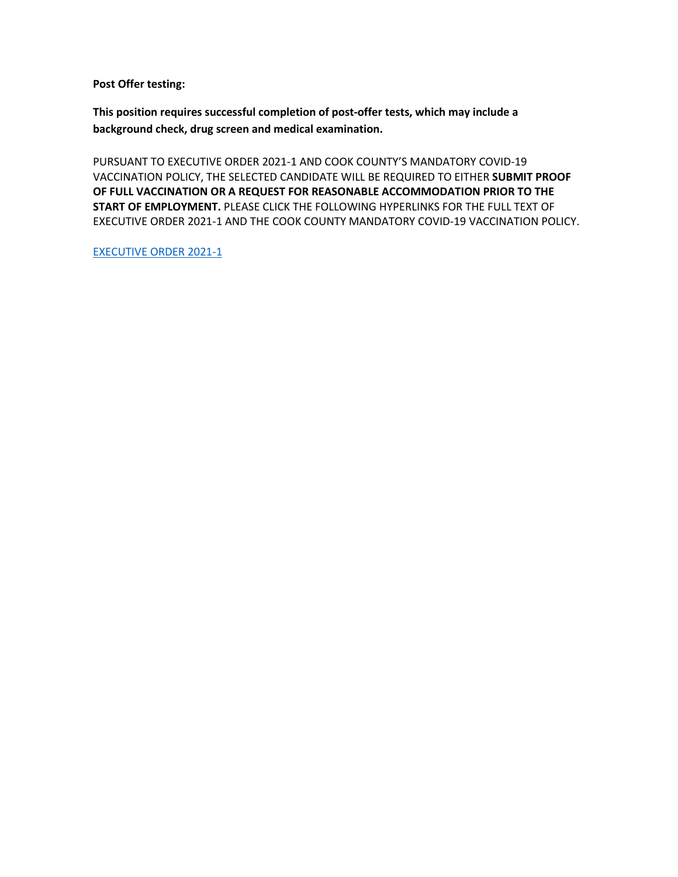**Post Offer testing:**

**This position requires successful completion of post-offer tests, which may include a background check, drug screen and medical examination.**

PURSUANT TO EXECUTIVE ORDER 2021-1 AND COOK COUNTY'S MANDATORY COVID-19 VACCINATION POLICY, THE SELECTED CANDIDATE WILL BE REQUIRED TO EITHER **SUBMIT PROOF OF FULL VACCINATION OR A REQUEST FOR REASONABLE ACCOMMODATION PRIOR TO THE START OF EMPLOYMENT.** PLEASE CLICK THE FOLLOWING HYPERLINKS FOR THE FULL TEXT OF EXECUTIVE ORDER 2021-1 AND THE COOK COUNTY MANDATORY COVID-19 VACCINATION POLICY.

[EXECUTIVE ORDER 2021-1](https://www.cookcountyil.gov/agency/office-president)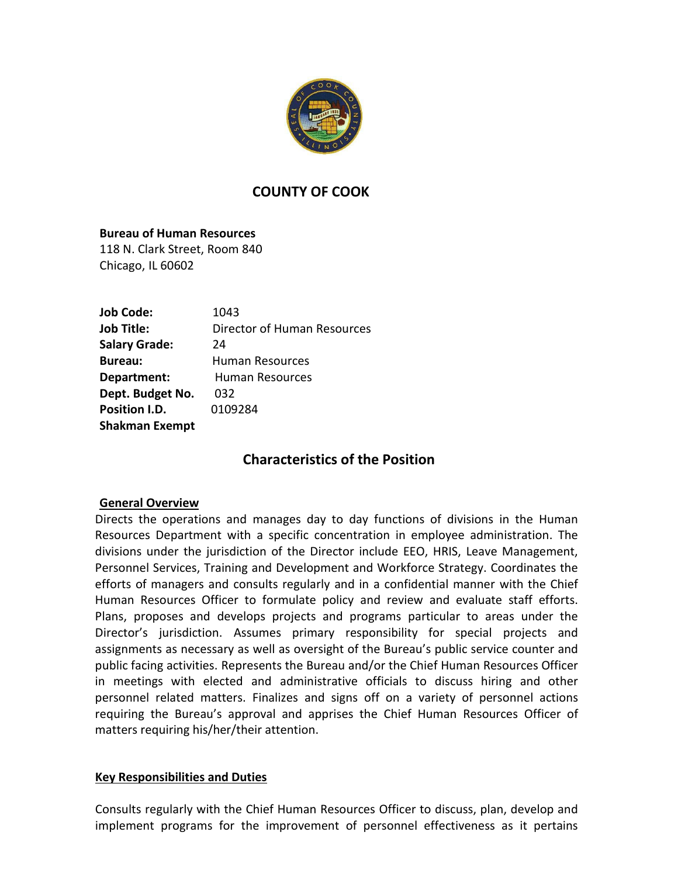

# **COUNTY OF COOK**

**Bureau of Human Resources** 118 N. Clark Street, Room 840 Chicago, IL 60602

| <b>Job Code:</b>      | 1043                        |
|-----------------------|-----------------------------|
| <b>Job Title:</b>     | Director of Human Resources |
| <b>Salary Grade:</b>  | 24                          |
| <b>Bureau:</b>        | Human Resources             |
| Department:           | <b>Human Resources</b>      |
| Dept. Budget No.      | 032                         |
| Position I.D.         | 0109284                     |
| <b>Shakman Exempt</b> |                             |

# **Characteristics of the Position**

## **General Overview**

Directs the operations and manages day to day functions of divisions in the Human Resources Department with a specific concentration in employee administration. The divisions under the jurisdiction of the Director include EEO, HRIS, Leave Management, Personnel Services, Training and Development and Workforce Strategy. Coordinates the efforts of managers and consults regularly and in a confidential manner with the Chief Human Resources Officer to formulate policy and review and evaluate staff efforts. Plans, proposes and develops projects and programs particular to areas under the Director's jurisdiction. Assumes primary responsibility for special projects and assignments as necessary as well as oversight of the Bureau's public service counter and public facing activities. Represents the Bureau and/or the Chief Human Resources Officer in meetings with elected and administrative officials to discuss hiring and other personnel related matters. Finalizes and signs off on a variety of personnel actions requiring the Bureau's approval and apprises the Chief Human Resources Officer of matters requiring his/her/their attention.

## **Key Responsibilities and Duties**

Consults regularly with the Chief Human Resources Officer to discuss, plan, develop and implement programs for the improvement of personnel effectiveness as it pertains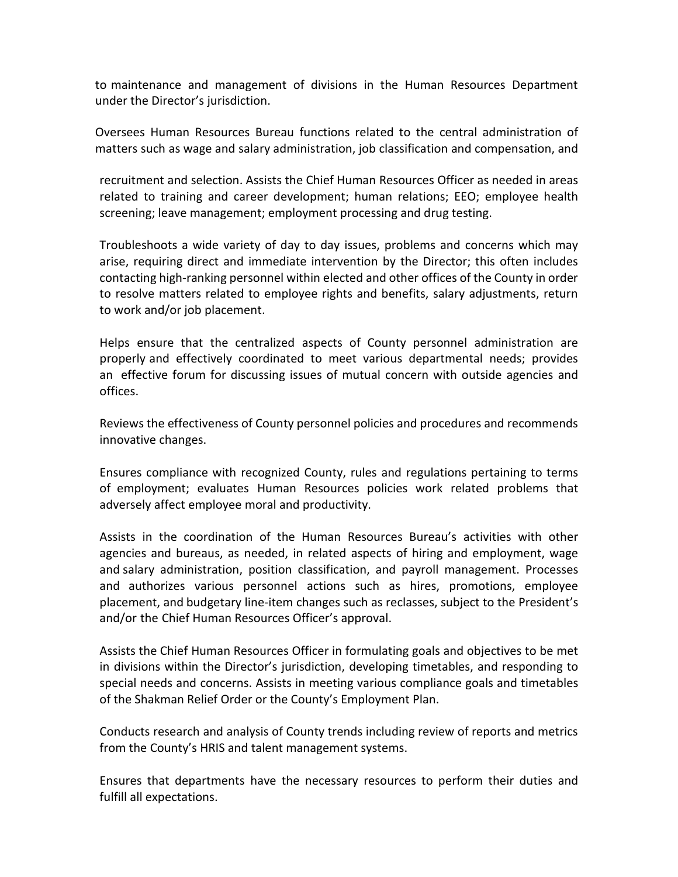to maintenance and management of divisions in the Human Resources Department under the Director's jurisdiction.

Oversees Human Resources Bureau functions related to the central administration of matters such as wage and salary administration, job classification and compensation, and

recruitment and selection. Assists the Chief Human Resources Officer as needed in areas related to training and career development; human relations; EEO; employee health screening; leave management; employment processing and drug testing.

Troubleshoots a wide variety of day to day issues, problems and concerns which may arise, requiring direct and immediate intervention by the Director; this often includes contacting high-ranking personnel within elected and other offices of the County in order to resolve matters related to employee rights and benefits, salary adjustments, return to work and/or job placement.

Helps ensure that the centralized aspects of County personnel administration are properly and effectively coordinated to meet various departmental needs; provides an effective forum for discussing issues of mutual concern with outside agencies and offices.

Reviews the effectiveness of County personnel policies and procedures and recommends innovative changes.

Ensures compliance with recognized County, rules and regulations pertaining to terms of employment; evaluates Human Resources policies work related problems that adversely affect employee moral and productivity.

Assists in the coordination of the Human Resources Bureau's activities with other agencies and bureaus, as needed, in related aspects of hiring and employment, wage and salary administration, position classification, and payroll management. Processes and authorizes various personnel actions such as hires, promotions, employee placement, and budgetary line-item changes such as reclasses, subject to the President's and/or the Chief Human Resources Officer's approval.

Assists the Chief Human Resources Officer in formulating goals and objectives to be met in divisions within the Director's jurisdiction, developing timetables, and responding to special needs and concerns. Assists in meeting various compliance goals and timetables of the Shakman Relief Order or the County's Employment Plan.

Conducts research and analysis of County trends including review of reports and metrics from the County's HRIS and talent management systems.

Ensures that departments have the necessary resources to perform their duties and fulfill all expectations.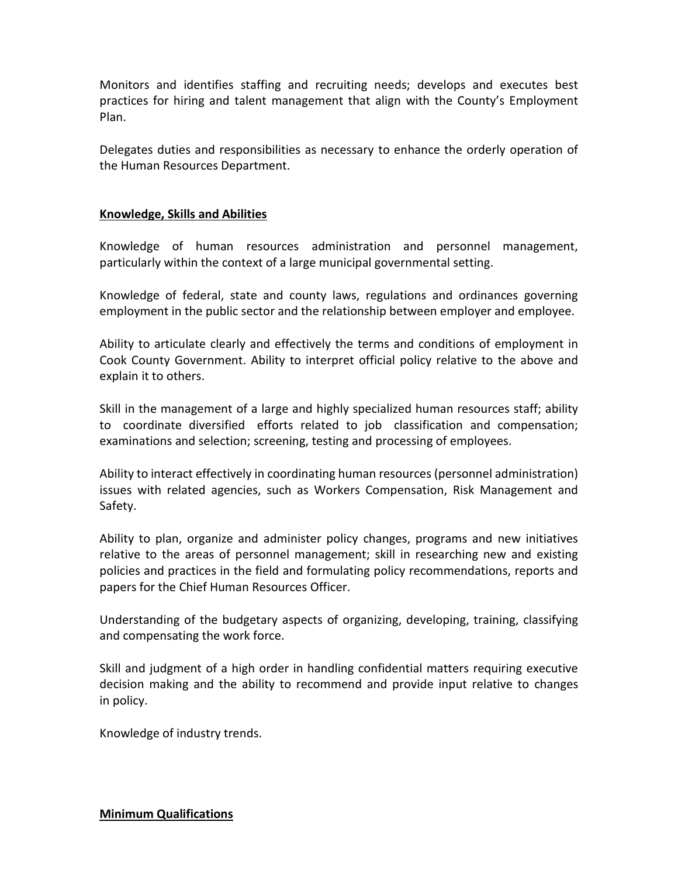Monitors and identifies staffing and recruiting needs; develops and executes best practices for hiring and talent management that align with the County's Employment Plan.

Delegates duties and responsibilities as necessary to enhance the orderly operation of the Human Resources Department.

## **Knowledge, Skills and Abilities**

Knowledge of human resources administration and personnel management, particularly within the context of a large municipal governmental setting.

Knowledge of federal, state and county laws, regulations and ordinances governing employment in the public sector and the relationship between employer and employee.

Ability to articulate clearly and effectively the terms and conditions of employment in Cook County Government. Ability to interpret official policy relative to the above and explain it to others.

Skill in the management of a large and highly specialized human resources staff; ability to coordinate diversified efforts related to job classification and compensation; examinations and selection; screening, testing and processing of employees.

Ability to interact effectively in coordinating human resources (personnel administration) issues with related agencies, such as Workers Compensation, Risk Management and Safety.

Ability to plan, organize and administer policy changes, programs and new initiatives relative to the areas of personnel management; skill in researching new and existing policies and practices in the field and formulating policy recommendations, reports and papers for the Chief Human Resources Officer.

Understanding of the budgetary aspects of organizing, developing, training, classifying and compensating the work force.

Skill and judgment of a high order in handling confidential matters requiring executive decision making and the ability to recommend and provide input relative to changes in policy.

Knowledge of industry trends.

**Minimum Qualifications**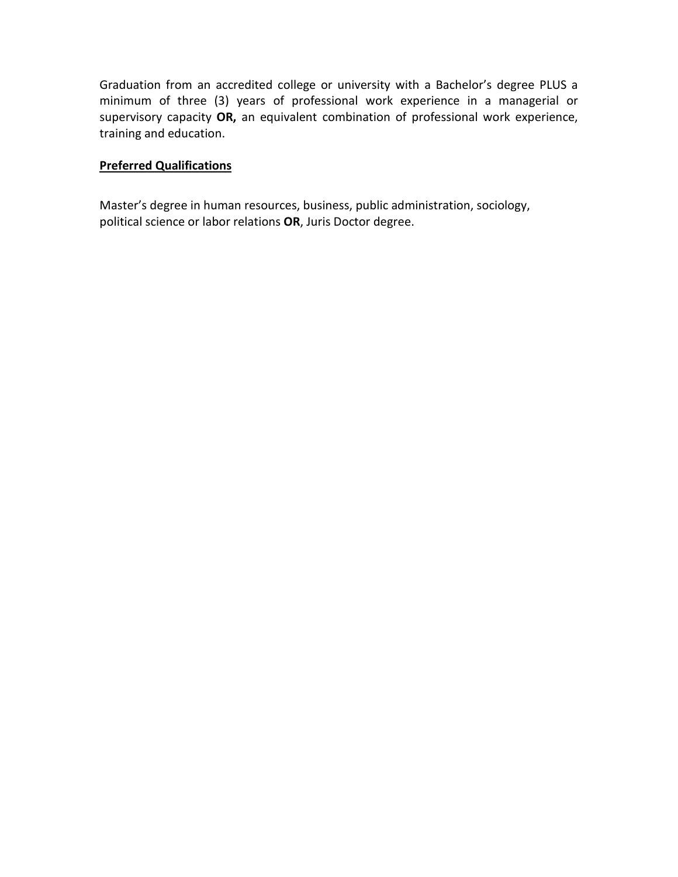Graduation from an accredited college or university with a Bachelor's degree PLUS a minimum of three (3) years of professional work experience in a managerial or supervisory capacity **OR,** an equivalent combination of professional work experience, training and education.

# **Preferred Qualifications**

Master's degree in human resources, business, public administration, sociology, political science or labor relations **OR**, Juris Doctor degree.